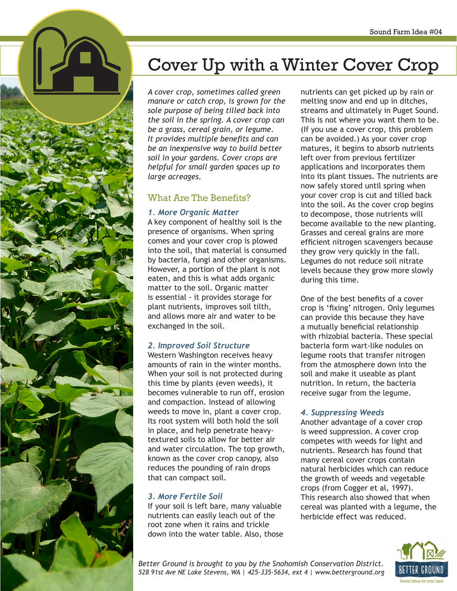

*A cover crop, sometimes called green manure or catch crop, is grown for the sole purpose of being tilled back into the soil in the spring. A cover crop can be a grass, cereal grain, or legume. It provides multiple benefits and can be an inexpensive way to build better soil in your gardens. Cover crops are helpful for small garden spaces up to large acreages.*

### What Are The Benefits?

#### *1. More Organic Matter*

A key component of healthy soil is the presence of organisms. When spring comes and your cover crop is plowed into the soil, that material is consumed by bacteria, fungi and other organisms. However, a portion of the plant is not eaten, and this is what adds organic matter to the soil. Organic matter is essential - it provides storage for plant nutrients, improves soil tilth, and allows more air and water to be exchanged in the soil.

### *2. Improved Soil Structure*

Western Washington receives heavy amounts of rain in the winter months. When your soil is not protected during this time by plants (even weeds), it becomes vulnerable to run off, erosion and compaction. Instead of allowing weeds to move in, plant a cover crop. Its root system will both hold the soil in place, and help penetrate heavytextured soils to allow for better air and water circulation. The top growth, known as the cover crop canopy, also reduces the pounding of rain drops that can compact soil.

### *3. More Fertile Soil*

If your soil is left bare, many valuable nutrients can easily leach out of the root zone when it rains and trickle down into the water table. Also, those nutrients can get picked up by rain or melting snow and end up in ditches, streams and ultimately in Puget Sound. This is not where you want them to be. (If you use a cover crop, this problem can be avoided.) As your cover crop matures, it begins to absorb nutrients left over from previous fertilizer applications and incorporates them into its plant tissues. The nutrients are now safely stored until spring when your cover crop is cut and tilled back into the soil. As the cover crop begins to decompose, those nutrients will become available to the new planting. Grasses and cereal grains are more efficient nitrogen scavengers because they grow very quickly in the fall. Legumes do not reduce soil nitrate levels because they grow more slowly during this time.

One of the best benefits of a cover crop is 'fixing' nitrogen. Only legumes can provide this because they have a mutually beneficial relationship with rhizobial bacteria. These special bacteria form wart-like nodules on legume roots that transfer nitrogen from the atmosphere down into the soil and make it useable as plant nutrition. In return, the bacteria receive sugar from the legume.

### *4. Suppressing Weeds*

Another advantage of a cover crop is weed suppression. A cover crop competes with weeds for light and nutrients. Research has found that many cereal cover crops contain natural herbicides which can reduce the growth of weeds and vegetable crops (from Cogger et al, 1997). This research also showed that when cereal was planted with a legume, the herbicide effect was reduced.



*Better Ground is brought to you by the Snohomish Conservation District. 528 91st Ave NE Lake Stevens, WA | 425-335-5634, ext 4 | www.betterground.org*